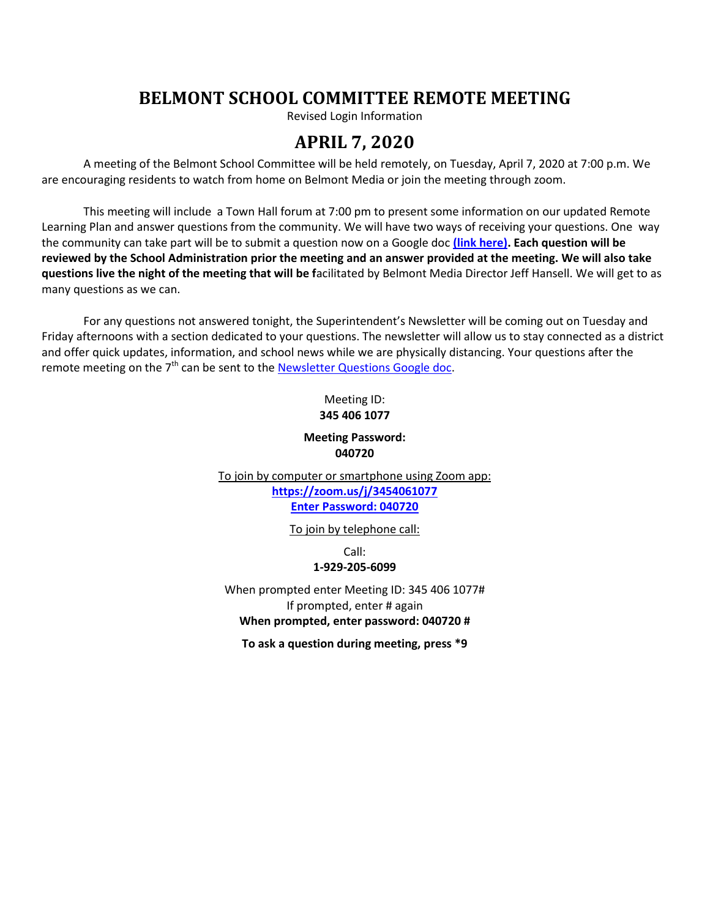# **BELMONT SCHOOL COMMITTEE REMOTE MEETING**

Revised Login Information

## **APRIL 7, 2020**

A meeting of the Belmont School Committee will be held remotely, on Tuesday, April 7, 2020 at 7:00 p.m. We are encouraging residents to watch from home on Belmont Media or join the meeting through zoom.

This meeting will include a Town Hall forum at 7:00 pm to present some information on our updated Remote Learning Plan and answer questions from the community. We will have two ways of receiving your questions. One way the community can take part will be to submit a question now on a Google doc **[\(link here\).](https://docs.google.com/forms/d/e/1FAIpQLSem-cf8nfd70Z1wGWVaKPAv3-1M-nqEgelCSw4tOnoOlPgMZw/viewform) Each question will be reviewed by the School Administration prior the meeting and an answer provided at the meeting. We will also take questions live the night of the meeting that will be f**acilitated by Belmont Media Director Jeff Hansell. We will get to as many questions as we can.

For any questions not answered tonight, the Superintendent's Newsletter will be coming out on Tuesday and Friday afternoons with a section dedicated to your questions. The newsletter will allow us to stay connected as a district and offer quick updates, information, and school news while we are physically distancing. Your questions after the remote meeting on the 7<sup>th</sup> can be sent to th[e Newsletter Questions Google doc.](https://docs.google.com/forms/d/e/1FAIpQLSf1-lTAzJs1qF4XGug_dgnqjppLDX28UZjAwVGGnz-w1aU8ZQ/viewform)

### Meeting ID: **345 406 1077**

#### **Meeting Password: 040720**

To join by computer or smartphone using Zoom app: **<https://zoom.us/j/3454061077> Enter Password: 040720**

To join by telephone call:

Call: **1-929-205-6099**

When prompted enter Meeting ID: 345 406 1077# If prompted, enter # again

**When prompted, enter password: 040720 #**

**To ask a question during meeting, press \*9**